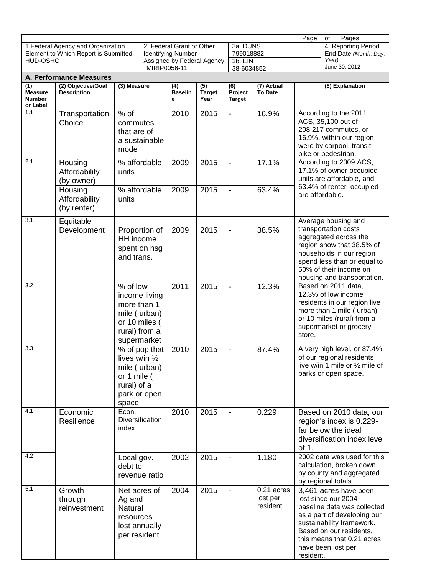| Page<br>of<br>Pages                                                                           |                                                                   |                                                                                                           |                                                 |                                                                                      |                                    |                                              |                                    |                                                                                                                                                     |                                                                                                                                                                                                                        |
|-----------------------------------------------------------------------------------------------|-------------------------------------------------------------------|-----------------------------------------------------------------------------------------------------------|-------------------------------------------------|--------------------------------------------------------------------------------------|------------------------------------|----------------------------------------------|------------------------------------|-----------------------------------------------------------------------------------------------------------------------------------------------------|------------------------------------------------------------------------------------------------------------------------------------------------------------------------------------------------------------------------|
| 1. Federal Agency and Organization<br>Element to Which Report is Submitted<br><b>HUD-OSHC</b> |                                                                   |                                                                                                           |                                                 | 2. Federal Grant or Other<br><b>Identifying Number</b><br>Assigned by Federal Agency |                                    | 3a. DUNS<br>799018882<br>3b. EIN             |                                    |                                                                                                                                                     | 4. Reporting Period<br>End Date (Month, Day,<br>Year)                                                                                                                                                                  |
| <b>A. Performance Measures</b>                                                                |                                                                   |                                                                                                           |                                                 | MIRIP0056-11                                                                         |                                    |                                              | 38-6034852                         |                                                                                                                                                     | June 30, 2012                                                                                                                                                                                                          |
| $\overline{(1)}$<br><b>Measure</b><br><b>Number</b><br>or Label                               | (2) Objective/Goal<br><b>Description</b>                          | (3) Measure                                                                                               |                                                 | (4)<br><b>Baselin</b><br>е                                                           | $\overline{(5)}$<br>Target<br>Year | $\overline{(6)}$<br>Project<br><b>Target</b> | (7) Actual<br><b>To Date</b>       |                                                                                                                                                     | (8) Explanation                                                                                                                                                                                                        |
| 1.1                                                                                           | Transportation<br>Choice                                          | $%$ of<br>commutes<br>that are of<br>a sustainable<br>mode                                                |                                                 | 2010                                                                                 | 2015                               | $\overline{\phantom{a}}$                     | 16.9%                              | According to the 2011<br>ACS, 35,100 out of<br>208,217 commutes, or<br>16.9%, within our region<br>were by carpool, transit,<br>bike or pedestrian. |                                                                                                                                                                                                                        |
| 2.1                                                                                           | Housing<br>Affordability<br>(by owner)                            | $\overline{\%}$ affordable<br>units                                                                       |                                                 | 2009                                                                                 | 2015                               | $\overline{\phantom{0}}$                     | 17.1%                              | According to 2009 ACS,<br>17.1% of owner-occupied<br>units are affordable, and<br>63.4% of renter-occupied<br>are affordable.                       |                                                                                                                                                                                                                        |
|                                                                                               | Housing<br>Affordability<br>(by renter)                           | units                                                                                                     | % affordable                                    | 2009                                                                                 | 2015                               | $\blacksquare$                               | 63.4%                              |                                                                                                                                                     |                                                                                                                                                                                                                        |
| 3.1                                                                                           | Equitable<br>Development                                          | Proportion of<br>HH income<br>spent on hsg<br>and trans.                                                  |                                                 | 2009                                                                                 | 2015                               | $\overline{\phantom{a}}$                     | 38.5%                              |                                                                                                                                                     | Average housing and<br>transportation costs<br>aggregated across the<br>region show that 38.5% of<br>households in our region<br>spend less than or equal to<br>50% of their income on<br>housing and transportation.  |
| 3.2                                                                                           |                                                                   | % of low<br>income living<br>more than 1<br>mile (urban)<br>or 10 miles (<br>rural) from a<br>supermarket |                                                 | 2011                                                                                 | 2015                               | $\overline{\phantom{a}}$                     | 12.3%                              | store.                                                                                                                                              | Based on 2011 data,<br>12.3% of low income<br>residents in our region live<br>more than 1 mile (urban)<br>or 10 miles (rural) from a<br>supermarket or grocery                                                         |
| 3.3                                                                                           |                                                                   | lives w/in $\frac{1}{2}$<br>or 1 mile (<br>rural) of a<br>space.                                          | % of pop that  <br>mile (urban)<br>park or open | 2010                                                                                 | 2015                               |                                              | 87.4%                              | A very high level, or 87.4%,<br>of our regional residents<br>live w/in 1 mile or 1/2 mile of<br>parks or open space.                                |                                                                                                                                                                                                                        |
| 4.1                                                                                           | Econ.<br>Economic<br>Resilience<br>index<br>Local gov.<br>debt to |                                                                                                           | Diversification                                 | 2010                                                                                 | 2015                               |                                              | 0.229                              | of 1.                                                                                                                                               | Based on 2010 data, our<br>region's index is 0.229-<br>far below the ideal<br>diversification index level                                                                                                              |
| 4.2                                                                                           |                                                                   |                                                                                                           | revenue ratio                                   | 2002                                                                                 | 2015                               | $\blacksquare$                               | 1.180                              |                                                                                                                                                     | 2002 data was used for this<br>calculation, broken down<br>by county and aggregated<br>by regional totals.                                                                                                             |
| 5.1                                                                                           | Growth<br>through<br>reinvestment                                 | Net acres of<br>Ag and<br>Natural<br>resources<br>per resident                                            | lost annually                                   | 2004                                                                                 | 2015                               | $\overline{\phantom{a}}$                     | 0.21 acres<br>lost per<br>resident | resident.                                                                                                                                           | 3,461 acres have been<br>lost since our 2004<br>baseline data was collected<br>as a part of developing our<br>sustainability framework.<br>Based on our residents,<br>this means that 0.21 acres<br>have been lost per |